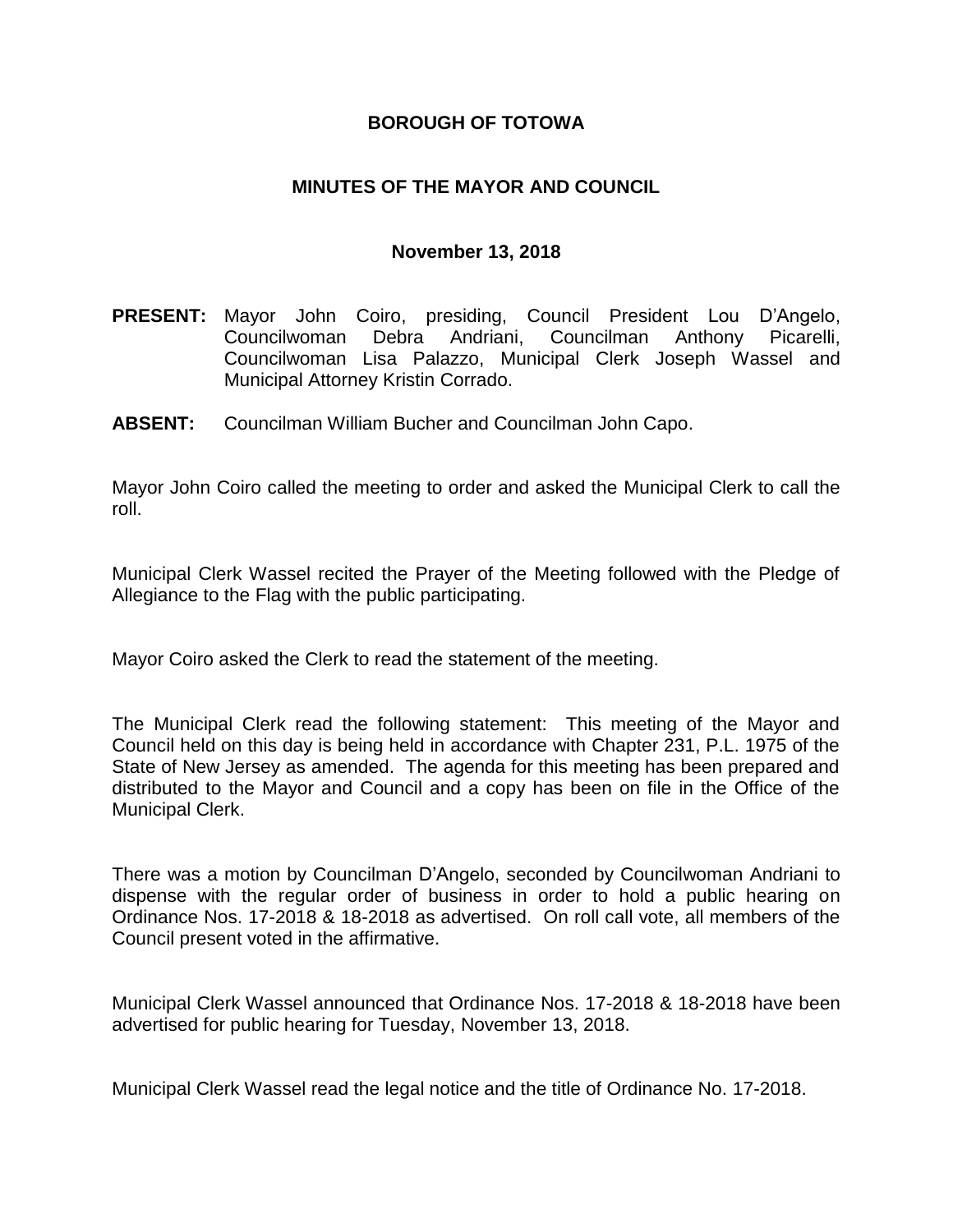## **BOROUGH OF TOTOWA**

## **MINUTES OF THE MAYOR AND COUNCIL**

### **November 13, 2018**

- **PRESENT:** Mayor John Coiro, presiding, Council President Lou D'Angelo, Councilwoman Debra Andriani, Councilman Anthony Picarelli, Councilwoman Lisa Palazzo, Municipal Clerk Joseph Wassel and Municipal Attorney Kristin Corrado.
- **ABSENT:** Councilman William Bucher and Councilman John Capo.

Mayor John Coiro called the meeting to order and asked the Municipal Clerk to call the roll.

Municipal Clerk Wassel recited the Prayer of the Meeting followed with the Pledge of Allegiance to the Flag with the public participating.

Mayor Coiro asked the Clerk to read the statement of the meeting.

The Municipal Clerk read the following statement: This meeting of the Mayor and Council held on this day is being held in accordance with Chapter 231, P.L. 1975 of the State of New Jersey as amended. The agenda for this meeting has been prepared and distributed to the Mayor and Council and a copy has been on file in the Office of the Municipal Clerk.

There was a motion by Councilman D'Angelo, seconded by Councilwoman Andriani to dispense with the regular order of business in order to hold a public hearing on Ordinance Nos. 17-2018 & 18-2018 as advertised. On roll call vote, all members of the Council present voted in the affirmative.

Municipal Clerk Wassel announced that Ordinance Nos. 17-2018 & 18-2018 have been advertised for public hearing for Tuesday, November 13, 2018.

Municipal Clerk Wassel read the legal notice and the title of Ordinance No. 17-2018.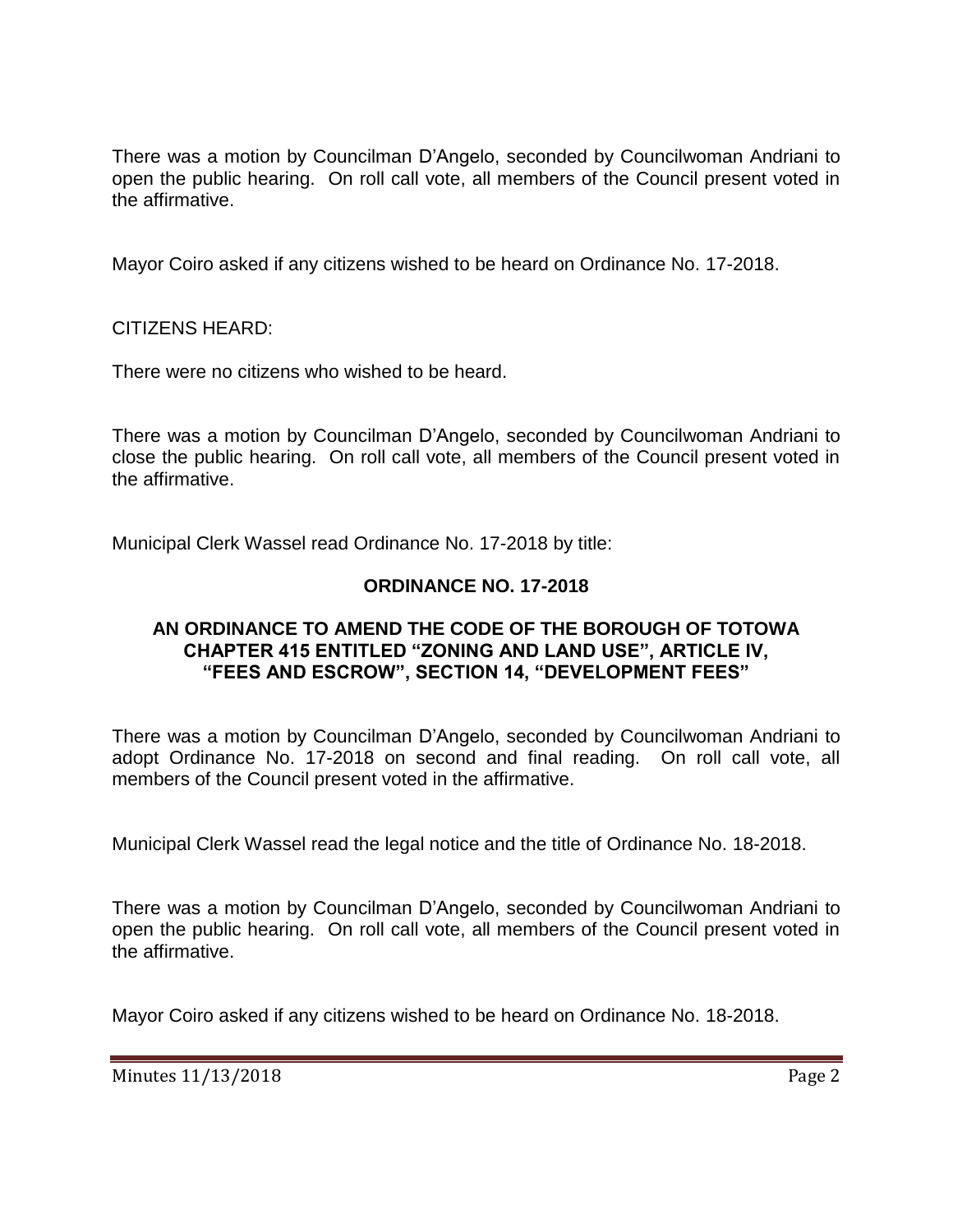There was a motion by Councilman D'Angelo, seconded by Councilwoman Andriani to open the public hearing. On roll call vote, all members of the Council present voted in the affirmative.

Mayor Coiro asked if any citizens wished to be heard on Ordinance No. 17-2018.

CITIZENS HEARD:

There were no citizens who wished to be heard.

There was a motion by Councilman D'Angelo, seconded by Councilwoman Andriani to close the public hearing. On roll call vote, all members of the Council present voted in the affirmative.

Municipal Clerk Wassel read Ordinance No. 17-2018 by title:

# **ORDINANCE NO. 17-2018**

## **AN ORDINANCE TO AMEND THE CODE OF THE BOROUGH OF TOTOWA CHAPTER 415 ENTITLED "ZONING AND LAND USE", ARTICLE IV, "FEES AND ESCROW", SECTION 14, "DEVELOPMENT FEES"**

There was a motion by Councilman D'Angelo, seconded by Councilwoman Andriani to adopt Ordinance No. 17-2018 on second and final reading. On roll call vote, all members of the Council present voted in the affirmative.

Municipal Clerk Wassel read the legal notice and the title of Ordinance No. 18-2018.

There was a motion by Councilman D'Angelo, seconded by Councilwoman Andriani to open the public hearing. On roll call vote, all members of the Council present voted in the affirmative.

Mayor Coiro asked if any citizens wished to be heard on Ordinance No. 18-2018.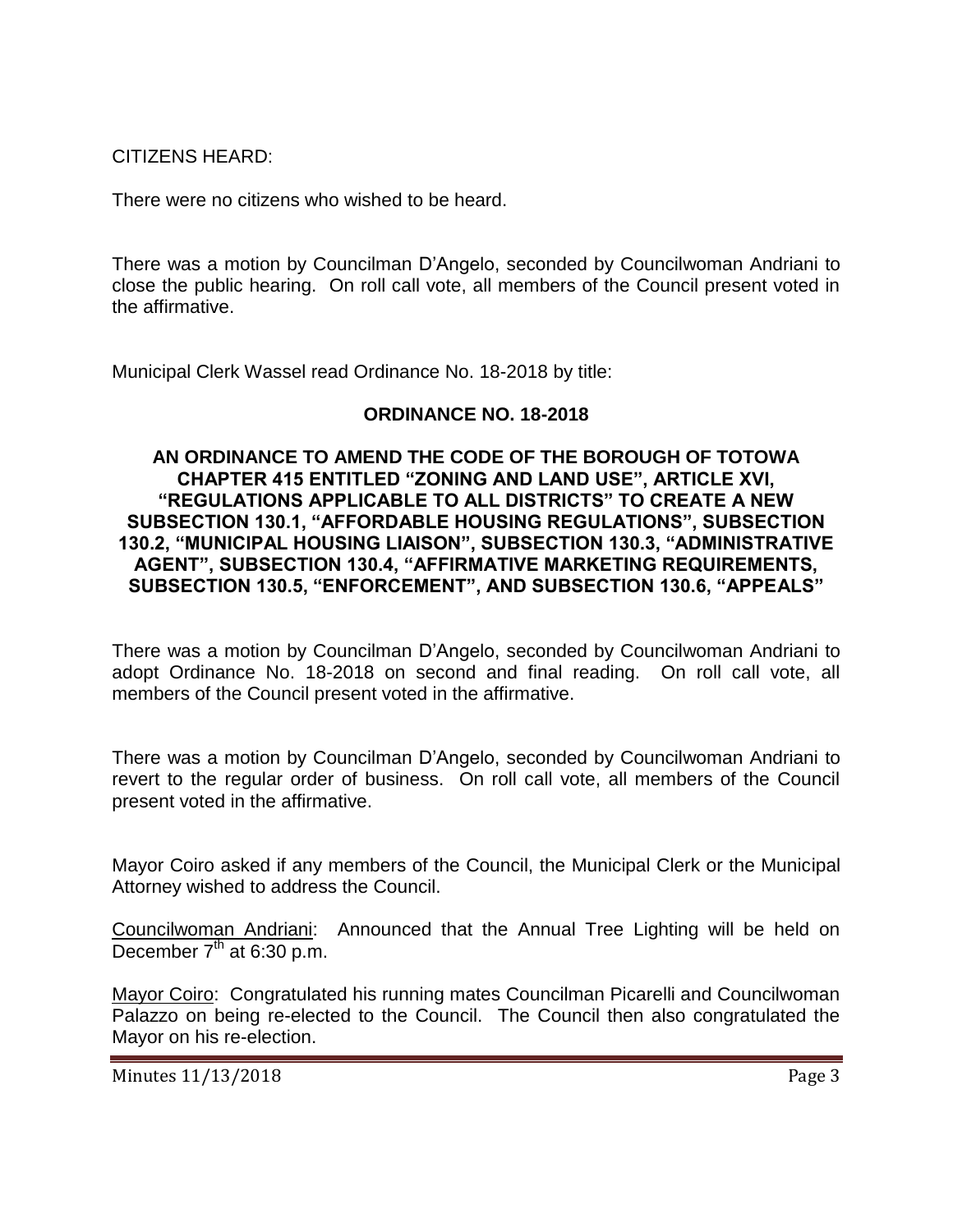CITIZENS HEARD:

There were no citizens who wished to be heard.

There was a motion by Councilman D'Angelo, seconded by Councilwoman Andriani to close the public hearing. On roll call vote, all members of the Council present voted in the affirmative.

Municipal Clerk Wassel read Ordinance No. 18-2018 by title:

# **ORDINANCE NO. 18-2018**

### **AN ORDINANCE TO AMEND THE CODE OF THE BOROUGH OF TOTOWA CHAPTER 415 ENTITLED "ZONING AND LAND USE", ARTICLE XVI, "REGULATIONS APPLICABLE TO ALL DISTRICTS" TO CREATE A NEW SUBSECTION 130.1, "AFFORDABLE HOUSING REGULATIONS", SUBSECTION 130.2, "MUNICIPAL HOUSING LIAISON", SUBSECTION 130.3, "ADMINISTRATIVE AGENT", SUBSECTION 130.4, "AFFIRMATIVE MARKETING REQUIREMENTS, SUBSECTION 130.5, "ENFORCEMENT", AND SUBSECTION 130.6, "APPEALS"**

There was a motion by Councilman D'Angelo, seconded by Councilwoman Andriani to adopt Ordinance No. 18-2018 on second and final reading. On roll call vote, all members of the Council present voted in the affirmative.

There was a motion by Councilman D'Angelo, seconded by Councilwoman Andriani to revert to the regular order of business. On roll call vote, all members of the Council present voted in the affirmative.

Mayor Coiro asked if any members of the Council, the Municipal Clerk or the Municipal Attorney wished to address the Council.

Councilwoman Andriani: Announced that the Annual Tree Lighting will be held on December  $7<sup>th</sup>$  at 6:30 p.m.

Mayor Coiro: Congratulated his running mates Councilman Picarelli and Councilwoman Palazzo on being re-elected to the Council. The Council then also congratulated the Mayor on his re-election.

Minutes 11/13/2018 **Page 3**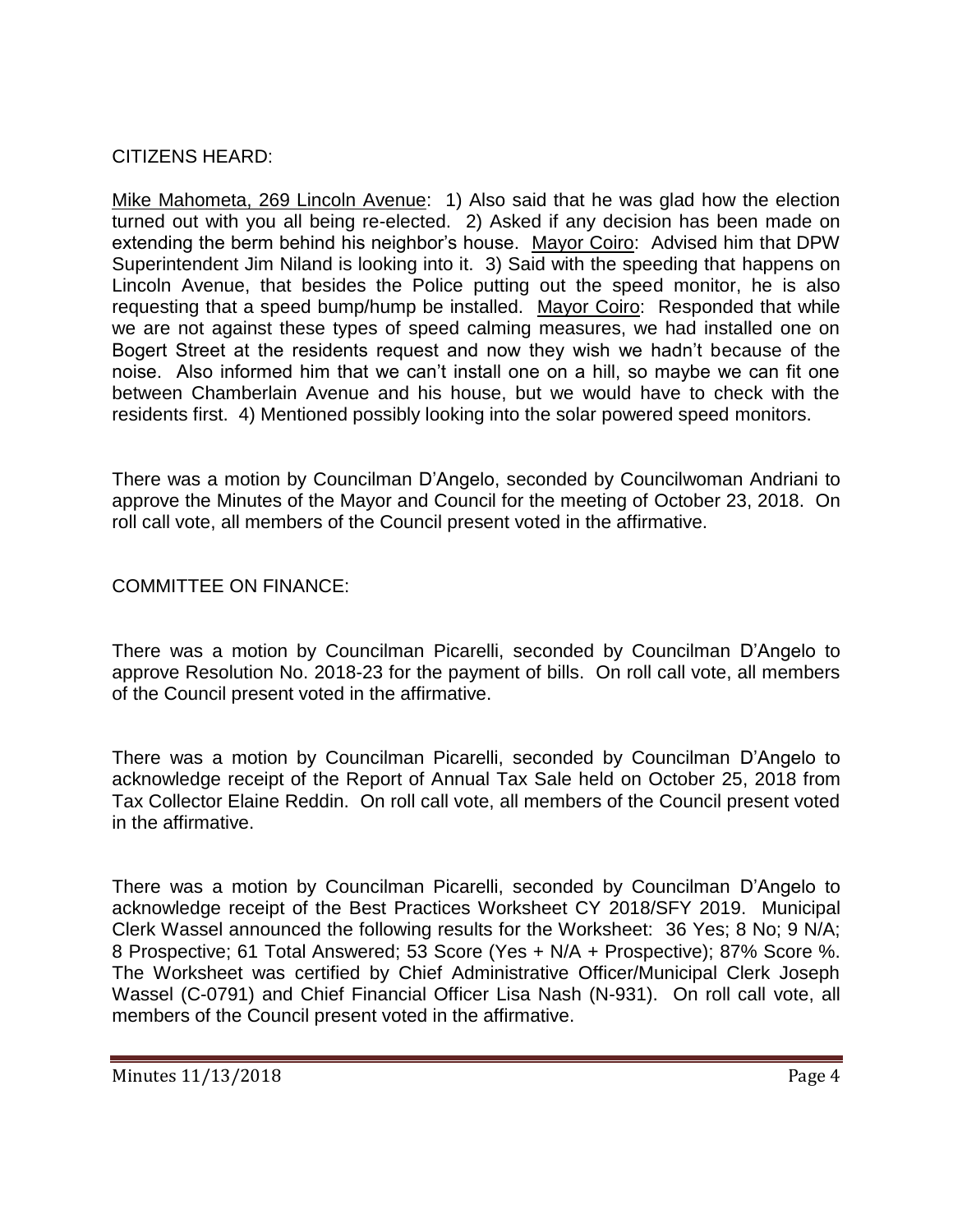# CITIZENS HEARD:

Mike Mahometa, 269 Lincoln Avenue: 1) Also said that he was glad how the election turned out with you all being re-elected. 2) Asked if any decision has been made on extending the berm behind his neighbor's house. Mayor Coiro: Advised him that DPW Superintendent Jim Niland is looking into it. 3) Said with the speeding that happens on Lincoln Avenue, that besides the Police putting out the speed monitor, he is also requesting that a speed bump/hump be installed. Mayor Coiro: Responded that while we are not against these types of speed calming measures, we had installed one on Bogert Street at the residents request and now they wish we hadn't because of the noise. Also informed him that we can't install one on a hill, so maybe we can fit one between Chamberlain Avenue and his house, but we would have to check with the residents first. 4) Mentioned possibly looking into the solar powered speed monitors.

There was a motion by Councilman D'Angelo, seconded by Councilwoman Andriani to approve the Minutes of the Mayor and Council for the meeting of October 23, 2018. On roll call vote, all members of the Council present voted in the affirmative.

# COMMITTEE ON FINANCE:

There was a motion by Councilman Picarelli, seconded by Councilman D'Angelo to approve Resolution No. 2018-23 for the payment of bills. On roll call vote, all members of the Council present voted in the affirmative.

There was a motion by Councilman Picarelli, seconded by Councilman D'Angelo to acknowledge receipt of the Report of Annual Tax Sale held on October 25, 2018 from Tax Collector Elaine Reddin. On roll call vote, all members of the Council present voted in the affirmative.

There was a motion by Councilman Picarelli, seconded by Councilman D'Angelo to acknowledge receipt of the Best Practices Worksheet CY 2018/SFY 2019. Municipal Clerk Wassel announced the following results for the Worksheet: 36 Yes; 8 No; 9 N/A; 8 Prospective; 61 Total Answered; 53 Score (Yes + N/A + Prospective); 87% Score %. The Worksheet was certified by Chief Administrative Officer/Municipal Clerk Joseph Wassel (C-0791) and Chief Financial Officer Lisa Nash (N-931). On roll call vote, all members of the Council present voted in the affirmative.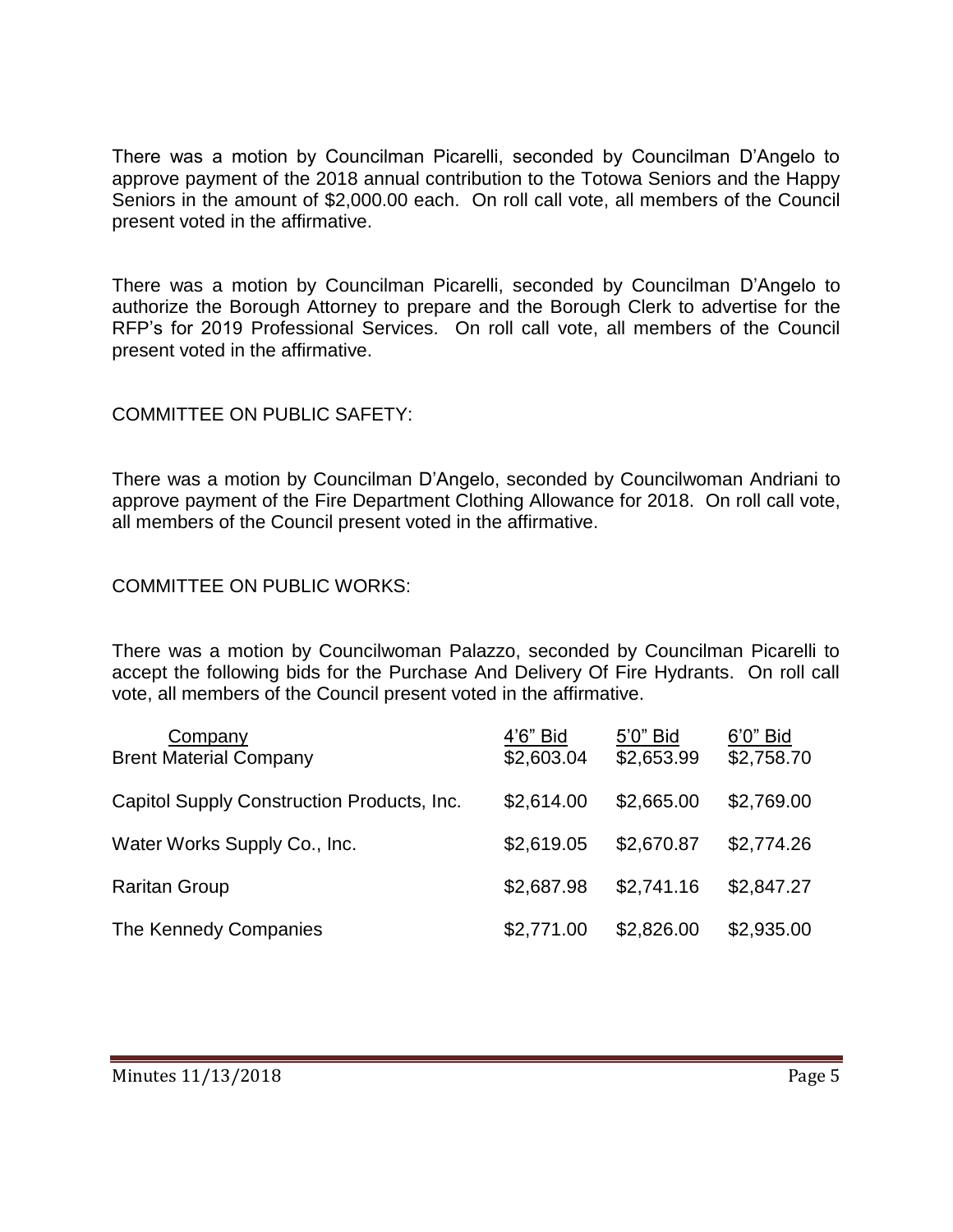There was a motion by Councilman Picarelli, seconded by Councilman D'Angelo to approve payment of the 2018 annual contribution to the Totowa Seniors and the Happy Seniors in the amount of \$2,000.00 each. On roll call vote, all members of the Council present voted in the affirmative.

There was a motion by Councilman Picarelli, seconded by Councilman D'Angelo to authorize the Borough Attorney to prepare and the Borough Clerk to advertise for the RFP's for 2019 Professional Services. On roll call vote, all members of the Council present voted in the affirmative.

# COMMITTEE ON PUBLIC SAFETY:

There was a motion by Councilman D'Angelo, seconded by Councilwoman Andriani to approve payment of the Fire Department Clothing Allowance for 2018. On roll call vote, all members of the Council present voted in the affirmative.

## COMMITTEE ON PUBLIC WORKS:

There was a motion by Councilwoman Palazzo, seconded by Councilman Picarelli to accept the following bids for the Purchase And Delivery Of Fire Hydrants. On roll call vote, all members of the Council present voted in the affirmative.

| Company<br><b>Brent Material Company</b>   | 4'6" Bid<br>\$2,603.04 | 5'0" Bid<br>\$2,653.99 | 6'0" Bid<br>\$2,758.70 |
|--------------------------------------------|------------------------|------------------------|------------------------|
| Capitol Supply Construction Products, Inc. | \$2,614.00             | \$2,665.00             | \$2,769.00             |
| Water Works Supply Co., Inc.               | \$2,619.05             | \$2,670.87             | \$2,774.26             |
| <b>Raritan Group</b>                       | \$2,687.98             | \$2,741.16             | \$2,847.27             |
| The Kennedy Companies                      | \$2,771.00             | \$2,826.00             | \$2,935.00             |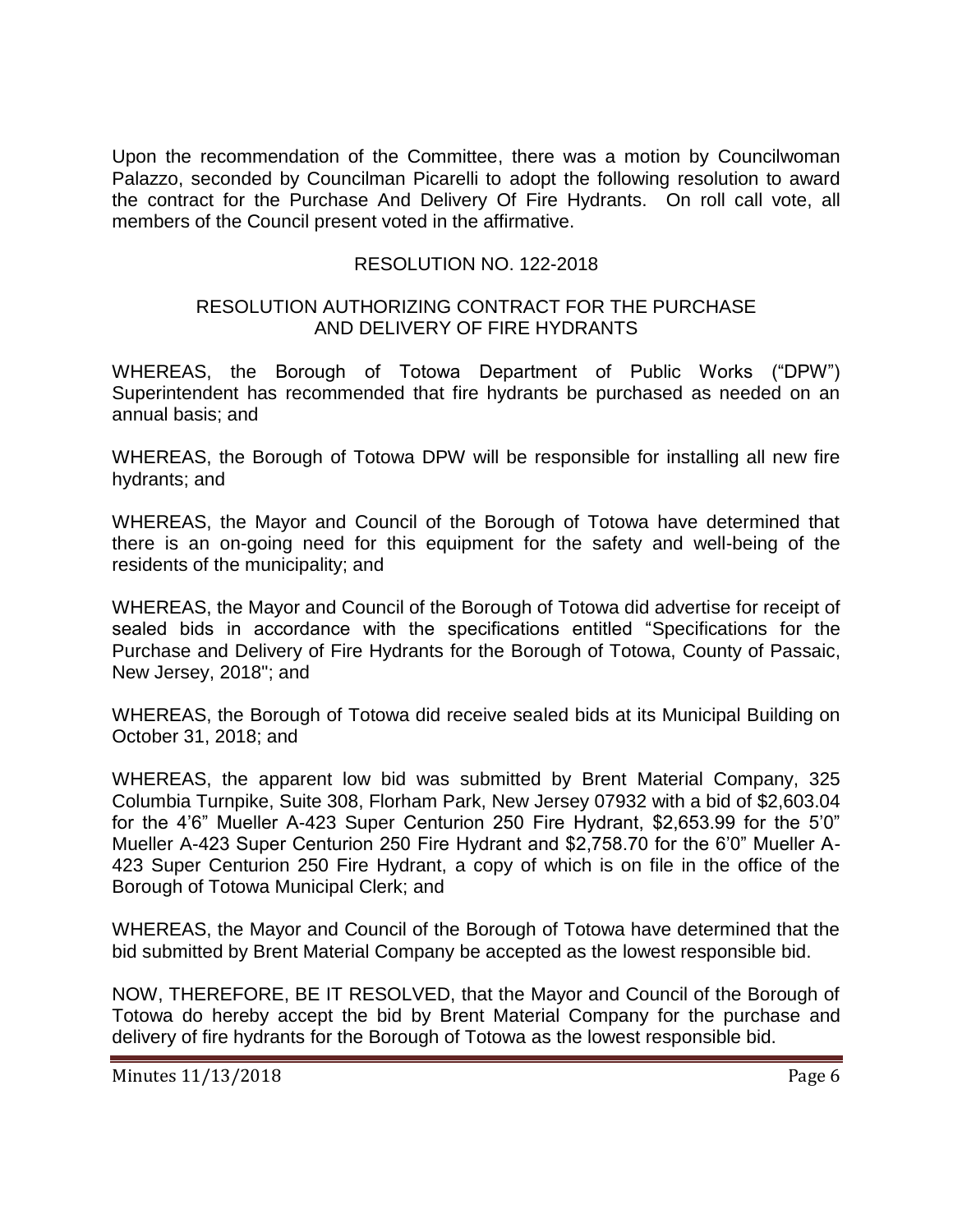Upon the recommendation of the Committee, there was a motion by Councilwoman Palazzo, seconded by Councilman Picarelli to adopt the following resolution to award the contract for the Purchase And Delivery Of Fire Hydrants. On roll call vote, all members of the Council present voted in the affirmative.

# RESOLUTION NO. 122-2018

### RESOLUTION AUTHORIZING CONTRACT FOR THE PURCHASE AND DELIVERY OF FIRE HYDRANTS

WHEREAS, the Borough of Totowa Department of Public Works ("DPW") Superintendent has recommended that fire hydrants be purchased as needed on an annual basis; and

WHEREAS, the Borough of Totowa DPW will be responsible for installing all new fire hydrants; and

WHEREAS, the Mayor and Council of the Borough of Totowa have determined that there is an on-going need for this equipment for the safety and well-being of the residents of the municipality; and

WHEREAS, the Mayor and Council of the Borough of Totowa did advertise for receipt of sealed bids in accordance with the specifications entitled "Specifications for the Purchase and Delivery of Fire Hydrants for the Borough of Totowa, County of Passaic, New Jersey, 2018"; and

WHEREAS, the Borough of Totowa did receive sealed bids at its Municipal Building on October 31, 2018; and

WHEREAS, the apparent low bid was submitted by Brent Material Company, 325 Columbia Turnpike, Suite 308, Florham Park, New Jersey 07932 with a bid of \$2,603.04 for the 4'6" Mueller A-423 Super Centurion 250 Fire Hydrant, \$2,653.99 for the 5'0" Mueller A-423 Super Centurion 250 Fire Hydrant and \$2,758.70 for the 6'0" Mueller A-423 Super Centurion 250 Fire Hydrant, a copy of which is on file in the office of the Borough of Totowa Municipal Clerk; and

WHEREAS, the Mayor and Council of the Borough of Totowa have determined that the bid submitted by Brent Material Company be accepted as the lowest responsible bid.

NOW, THEREFORE, BE IT RESOLVED, that the Mayor and Council of the Borough of Totowa do hereby accept the bid by Brent Material Company for the purchase and delivery of fire hydrants for the Borough of Totowa as the lowest responsible bid.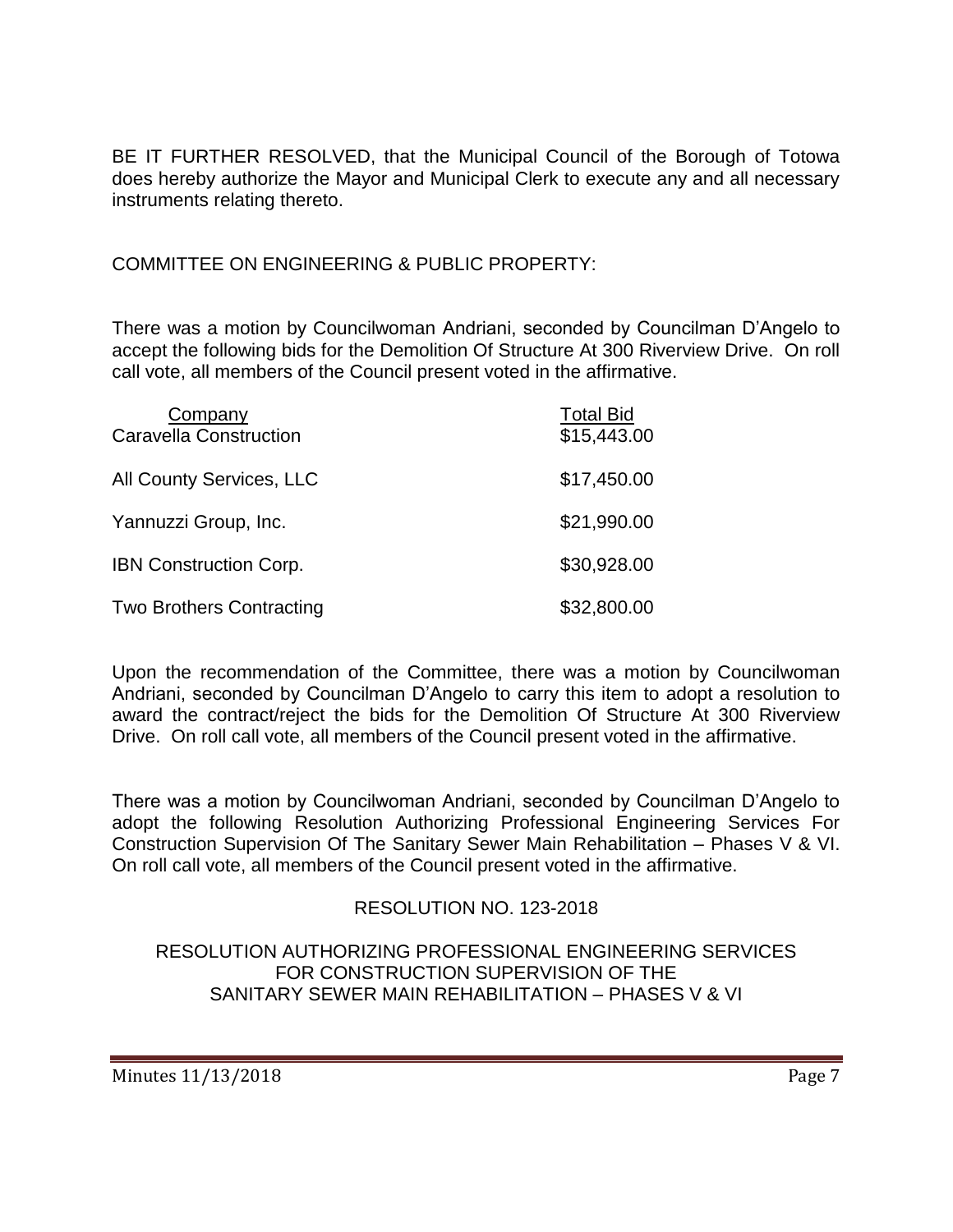BE IT FURTHER RESOLVED, that the Municipal Council of the Borough of Totowa does hereby authorize the Mayor and Municipal Clerk to execute any and all necessary instruments relating thereto.

COMMITTEE ON ENGINEERING & PUBLIC PROPERTY:

There was a motion by Councilwoman Andriani, seconded by Councilman D'Angelo to accept the following bids for the Demolition Of Structure At 300 Riverview Drive. On roll call vote, all members of the Council present voted in the affirmative.

| Company<br><b>Caravella Construction</b> | <b>Total Bid</b><br>\$15,443.00 |
|------------------------------------------|---------------------------------|
| All County Services, LLC                 | \$17,450.00                     |
| Yannuzzi Group, Inc.                     | \$21,990.00                     |
| <b>IBN Construction Corp.</b>            | \$30,928.00                     |
| <b>Two Brothers Contracting</b>          | \$32,800.00                     |

Upon the recommendation of the Committee, there was a motion by Councilwoman Andriani, seconded by Councilman D'Angelo to carry this item to adopt a resolution to award the contract/reject the bids for the Demolition Of Structure At 300 Riverview Drive. On roll call vote, all members of the Council present voted in the affirmative.

There was a motion by Councilwoman Andriani, seconded by Councilman D'Angelo to adopt the following Resolution Authorizing Professional Engineering Services For Construction Supervision Of The Sanitary Sewer Main Rehabilitation – Phases V & VI. On roll call vote, all members of the Council present voted in the affirmative.

# RESOLUTION NO. 123-2018

RESOLUTION AUTHORIZING PROFESSIONAL ENGINEERING SERVICES FOR CONSTRUCTION SUPERVISION OF THE SANITARY SEWER MAIN REHABILITATION – PHASES V & VI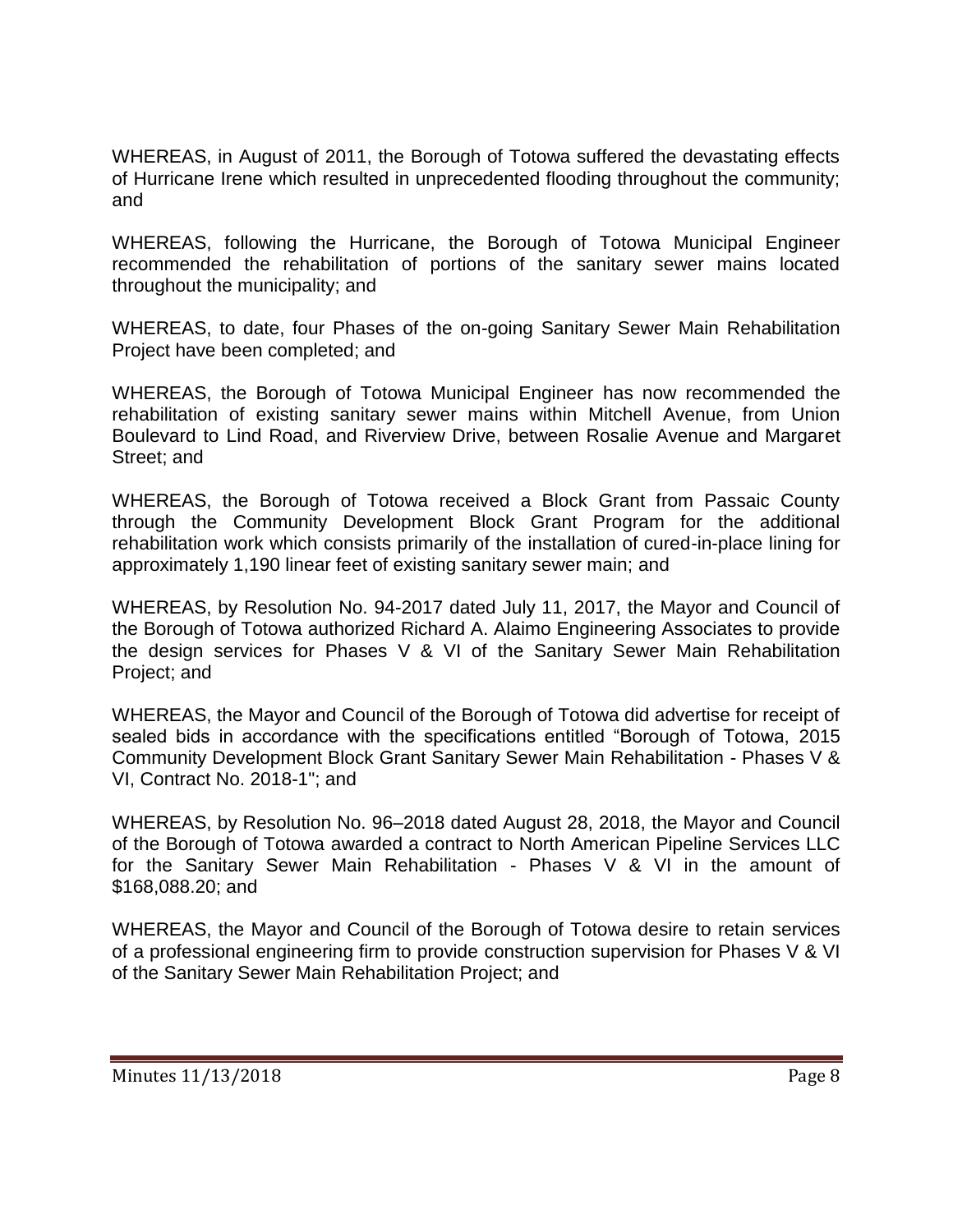WHEREAS, in August of 2011, the Borough of Totowa suffered the devastating effects of Hurricane Irene which resulted in unprecedented flooding throughout the community; and

WHEREAS, following the Hurricane, the Borough of Totowa Municipal Engineer recommended the rehabilitation of portions of the sanitary sewer mains located throughout the municipality; and

WHEREAS, to date, four Phases of the on-going Sanitary Sewer Main Rehabilitation Project have been completed; and

WHEREAS, the Borough of Totowa Municipal Engineer has now recommended the rehabilitation of existing sanitary sewer mains within Mitchell Avenue, from Union Boulevard to Lind Road, and Riverview Drive, between Rosalie Avenue and Margaret Street; and

WHEREAS, the Borough of Totowa received a Block Grant from Passaic County through the Community Development Block Grant Program for the additional rehabilitation work which consists primarily of the installation of cured-in-place lining for approximately 1,190 linear feet of existing sanitary sewer main; and

WHEREAS, by Resolution No. 94-2017 dated July 11, 2017, the Mayor and Council of the Borough of Totowa authorized Richard A. Alaimo Engineering Associates to provide the design services for Phases V & VI of the Sanitary Sewer Main Rehabilitation Project; and

WHEREAS, the Mayor and Council of the Borough of Totowa did advertise for receipt of sealed bids in accordance with the specifications entitled "Borough of Totowa, 2015 Community Development Block Grant Sanitary Sewer Main Rehabilitation - Phases V & VI, Contract No. 2018-1"; and

WHEREAS, by Resolution No. 96–2018 dated August 28, 2018, the Mayor and Council of the Borough of Totowa awarded a contract to North American Pipeline Services LLC for the Sanitary Sewer Main Rehabilitation - Phases V & VI in the amount of \$168,088.20; and

WHEREAS, the Mayor and Council of the Borough of Totowa desire to retain services of a professional engineering firm to provide construction supervision for Phases V & VI of the Sanitary Sewer Main Rehabilitation Project; and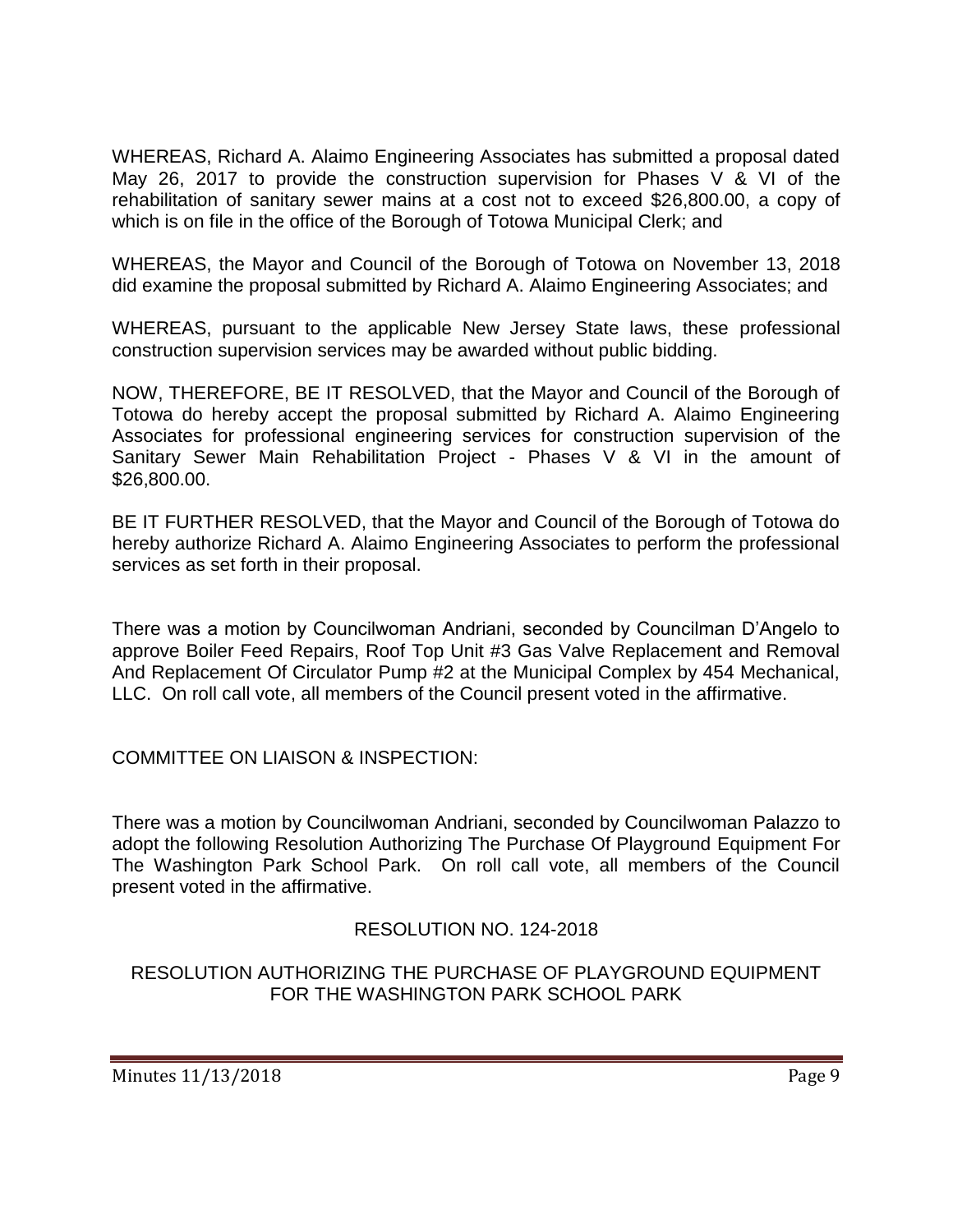WHEREAS, Richard A. Alaimo Engineering Associates has submitted a proposal dated May 26, 2017 to provide the construction supervision for Phases V & VI of the rehabilitation of sanitary sewer mains at a cost not to exceed \$26,800.00, a copy of which is on file in the office of the Borough of Totowa Municipal Clerk; and

WHEREAS, the Mayor and Council of the Borough of Totowa on November 13, 2018 did examine the proposal submitted by Richard A. Alaimo Engineering Associates; and

WHEREAS, pursuant to the applicable New Jersey State laws, these professional construction supervision services may be awarded without public bidding.

NOW, THEREFORE, BE IT RESOLVED, that the Mayor and Council of the Borough of Totowa do hereby accept the proposal submitted by Richard A. Alaimo Engineering Associates for professional engineering services for construction supervision of the Sanitary Sewer Main Rehabilitation Project - Phases V & VI in the amount of \$26,800.00.

BE IT FURTHER RESOLVED, that the Mayor and Council of the Borough of Totowa do hereby authorize Richard A. Alaimo Engineering Associates to perform the professional services as set forth in their proposal.

There was a motion by Councilwoman Andriani, seconded by Councilman D'Angelo to approve Boiler Feed Repairs, Roof Top Unit #3 Gas Valve Replacement and Removal And Replacement Of Circulator Pump #2 at the Municipal Complex by 454 Mechanical, LLC. On roll call vote, all members of the Council present voted in the affirmative.

# COMMITTEE ON LIAISON & INSPECTION:

There was a motion by Councilwoman Andriani, seconded by Councilwoman Palazzo to adopt the following Resolution Authorizing The Purchase Of Playground Equipment For The Washington Park School Park. On roll call vote, all members of the Council present voted in the affirmative.

# RESOLUTION NO. 124-2018

RESOLUTION AUTHORIZING THE PURCHASE OF PLAYGROUND EQUIPMENT FOR THE WASHINGTON PARK SCHOOL PARK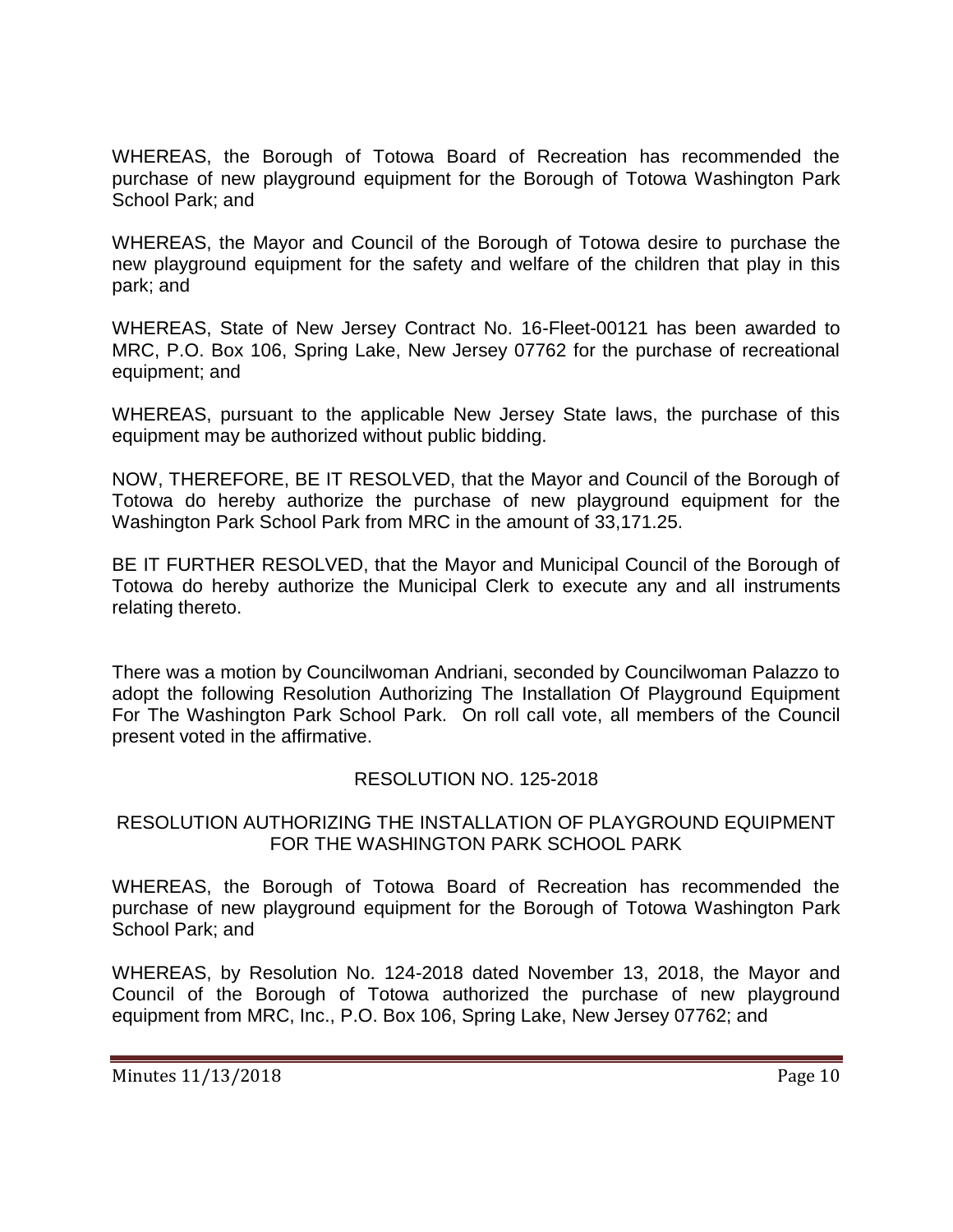WHEREAS, the Borough of Totowa Board of Recreation has recommended the purchase of new playground equipment for the Borough of Totowa Washington Park School Park; and

WHEREAS, the Mayor and Council of the Borough of Totowa desire to purchase the new playground equipment for the safety and welfare of the children that play in this park; and

WHEREAS, State of New Jersey Contract No. 16-Fleet-00121 has been awarded to MRC, P.O. Box 106, Spring Lake, New Jersey 07762 for the purchase of recreational equipment; and

WHEREAS, pursuant to the applicable New Jersey State laws, the purchase of this equipment may be authorized without public bidding.

NOW, THEREFORE, BE IT RESOLVED, that the Mayor and Council of the Borough of Totowa do hereby authorize the purchase of new playground equipment for the Washington Park School Park from MRC in the amount of 33,171.25.

BE IT FURTHER RESOLVED, that the Mayor and Municipal Council of the Borough of Totowa do hereby authorize the Municipal Clerk to execute any and all instruments relating thereto.

There was a motion by Councilwoman Andriani, seconded by Councilwoman Palazzo to adopt the following Resolution Authorizing The Installation Of Playground Equipment For The Washington Park School Park. On roll call vote, all members of the Council present voted in the affirmative.

# RESOLUTION NO. 125-2018

## RESOLUTION AUTHORIZING THE INSTALLATION OF PLAYGROUND EQUIPMENT FOR THE WASHINGTON PARK SCHOOL PARK

WHEREAS, the Borough of Totowa Board of Recreation has recommended the purchase of new playground equipment for the Borough of Totowa Washington Park School Park; and

WHEREAS, by Resolution No. 124-2018 dated November 13, 2018, the Mayor and Council of the Borough of Totowa authorized the purchase of new playground equipment from MRC, Inc., P.O. Box 106, Spring Lake, New Jersey 07762; and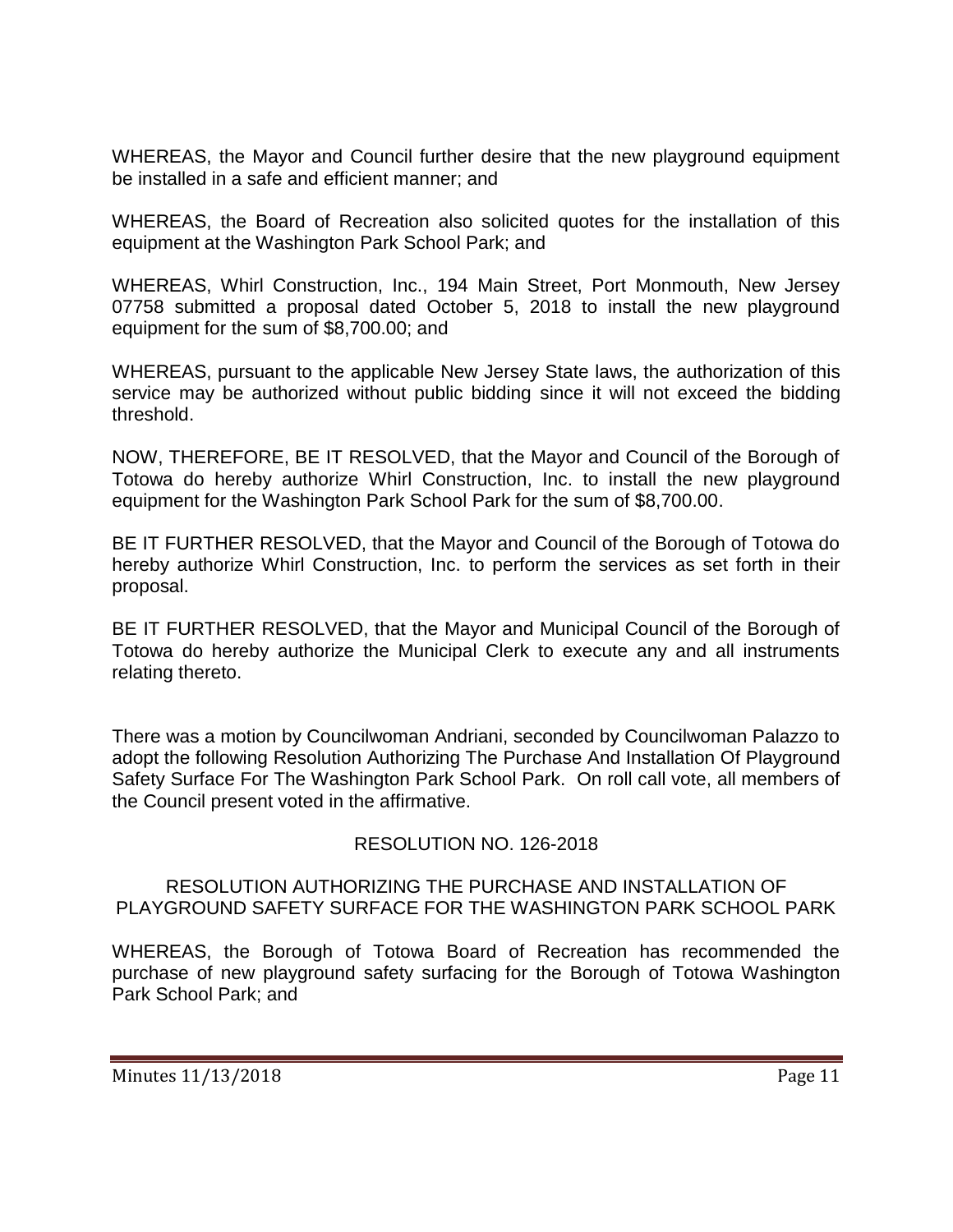WHEREAS, the Mayor and Council further desire that the new playground equipment be installed in a safe and efficient manner; and

WHEREAS, the Board of Recreation also solicited quotes for the installation of this equipment at the Washington Park School Park; and

WHEREAS, Whirl Construction, Inc., 194 Main Street, Port Monmouth, New Jersey 07758 submitted a proposal dated October 5, 2018 to install the new playground equipment for the sum of \$8,700.00; and

WHEREAS, pursuant to the applicable New Jersey State laws, the authorization of this service may be authorized without public bidding since it will not exceed the bidding threshold.

NOW, THEREFORE, BE IT RESOLVED, that the Mayor and Council of the Borough of Totowa do hereby authorize Whirl Construction, Inc. to install the new playground equipment for the Washington Park School Park for the sum of \$8,700.00.

BE IT FURTHER RESOLVED, that the Mayor and Council of the Borough of Totowa do hereby authorize Whirl Construction, Inc. to perform the services as set forth in their proposal.

BE IT FURTHER RESOLVED, that the Mayor and Municipal Council of the Borough of Totowa do hereby authorize the Municipal Clerk to execute any and all instruments relating thereto.

There was a motion by Councilwoman Andriani, seconded by Councilwoman Palazzo to adopt the following Resolution Authorizing The Purchase And Installation Of Playground Safety Surface For The Washington Park School Park. On roll call vote, all members of the Council present voted in the affirmative.

# RESOLUTION NO. 126-2018

### RESOLUTION AUTHORIZING THE PURCHASE AND INSTALLATION OF PLAYGROUND SAFETY SURFACE FOR THE WASHINGTON PARK SCHOOL PARK

WHEREAS, the Borough of Totowa Board of Recreation has recommended the purchase of new playground safety surfacing for the Borough of Totowa Washington Park School Park; and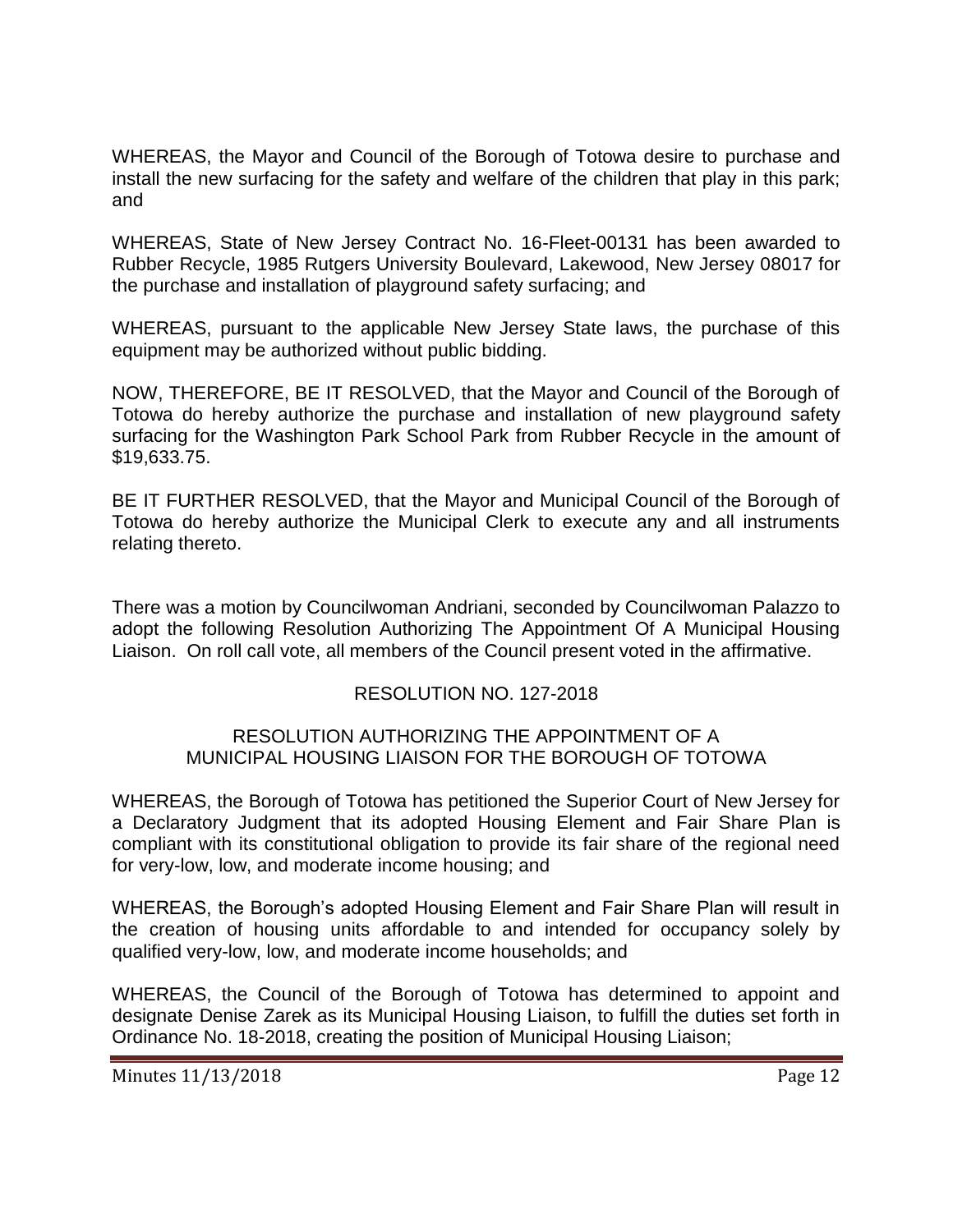WHEREAS, the Mayor and Council of the Borough of Totowa desire to purchase and install the new surfacing for the safety and welfare of the children that play in this park; and

WHEREAS, State of New Jersey Contract No. 16-Fleet-00131 has been awarded to Rubber Recycle, 1985 Rutgers University Boulevard, Lakewood, New Jersey 08017 for the purchase and installation of playground safety surfacing; and

WHEREAS, pursuant to the applicable New Jersey State laws, the purchase of this equipment may be authorized without public bidding.

NOW, THEREFORE, BE IT RESOLVED, that the Mayor and Council of the Borough of Totowa do hereby authorize the purchase and installation of new playground safety surfacing for the Washington Park School Park from Rubber Recycle in the amount of \$19,633.75.

BE IT FURTHER RESOLVED, that the Mayor and Municipal Council of the Borough of Totowa do hereby authorize the Municipal Clerk to execute any and all instruments relating thereto.

There was a motion by Councilwoman Andriani, seconded by Councilwoman Palazzo to adopt the following Resolution Authorizing The Appointment Of A Municipal Housing Liaison. On roll call vote, all members of the Council present voted in the affirmative.

### RESOLUTION NO. 127-2018

#### RESOLUTION AUTHORIZING THE APPOINTMENT OF A MUNICIPAL HOUSING LIAISON FOR THE BOROUGH OF TOTOWA

WHEREAS, the Borough of Totowa has petitioned the Superior Court of New Jersey for a Declaratory Judgment that its adopted Housing Element and Fair Share Plan is compliant with its constitutional obligation to provide its fair share of the regional need for very-low, low, and moderate income housing; and

WHEREAS, the Borough's adopted Housing Element and Fair Share Plan will result in the creation of housing units affordable to and intended for occupancy solely by qualified very-low, low, and moderate income households; and

WHEREAS, the Council of the Borough of Totowa has determined to appoint and designate Denise Zarek as its Municipal Housing Liaison, to fulfill the duties set forth in Ordinance No. 18-2018, creating the position of Municipal Housing Liaison;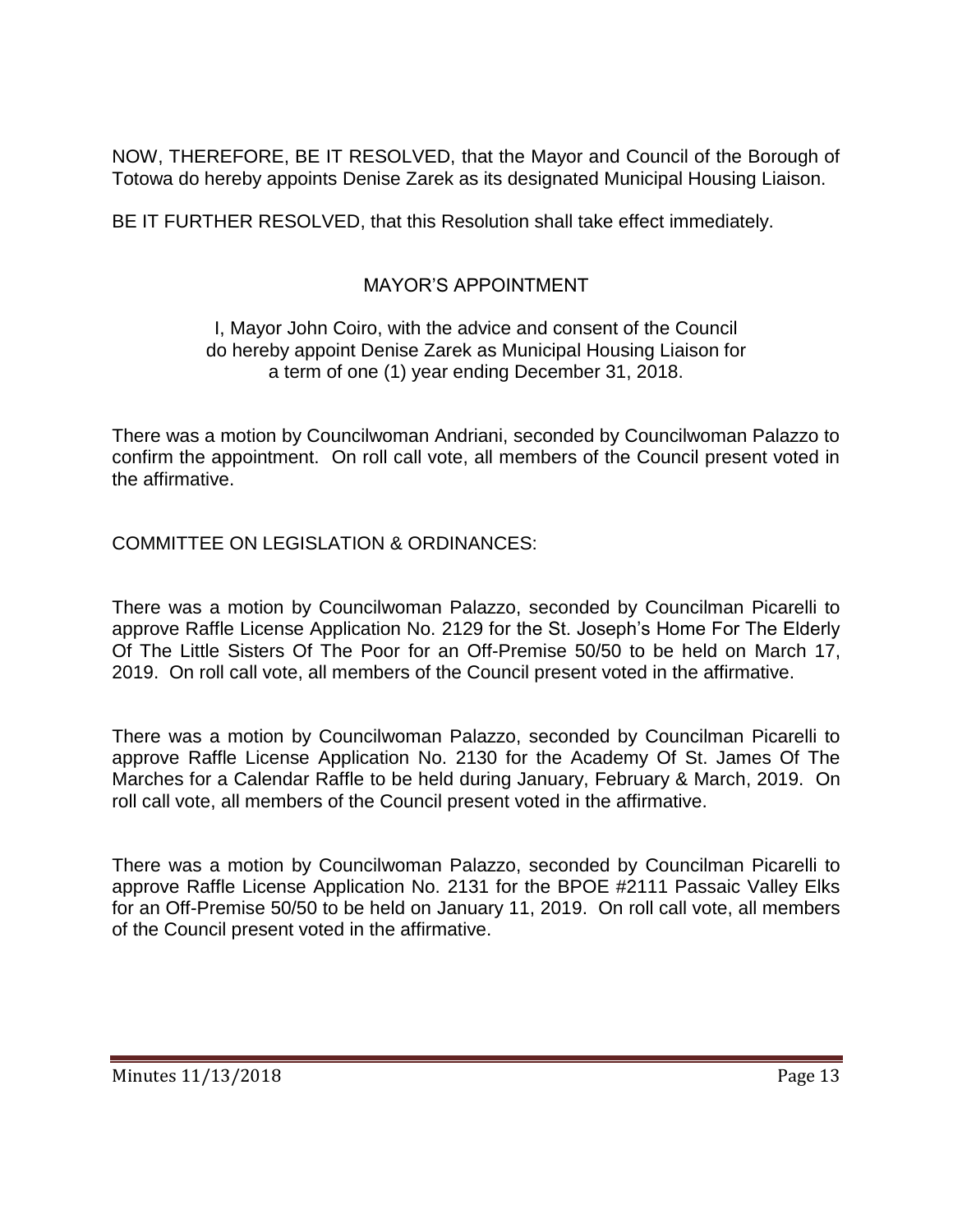NOW, THEREFORE, BE IT RESOLVED, that the Mayor and Council of the Borough of Totowa do hereby appoints Denise Zarek as its designated Municipal Housing Liaison.

BE IT FURTHER RESOLVED, that this Resolution shall take effect immediately.

# MAYOR'S APPOINTMENT

## I, Mayor John Coiro, with the advice and consent of the Council do hereby appoint Denise Zarek as Municipal Housing Liaison for a term of one (1) year ending December 31, 2018.

There was a motion by Councilwoman Andriani, seconded by Councilwoman Palazzo to confirm the appointment. On roll call vote, all members of the Council present voted in the affirmative.

COMMITTEE ON LEGISLATION & ORDINANCES:

There was a motion by Councilwoman Palazzo, seconded by Councilman Picarelli to approve Raffle License Application No. 2129 for the St. Joseph's Home For The Elderly Of The Little Sisters Of The Poor for an Off-Premise 50/50 to be held on March 17, 2019. On roll call vote, all members of the Council present voted in the affirmative.

There was a motion by Councilwoman Palazzo, seconded by Councilman Picarelli to approve Raffle License Application No. 2130 for the Academy Of St. James Of The Marches for a Calendar Raffle to be held during January, February & March, 2019. On roll call vote, all members of the Council present voted in the affirmative.

There was a motion by Councilwoman Palazzo, seconded by Councilman Picarelli to approve Raffle License Application No. 2131 for the BPOE #2111 Passaic Valley Elks for an Off-Premise 50/50 to be held on January 11, 2019. On roll call vote, all members of the Council present voted in the affirmative.